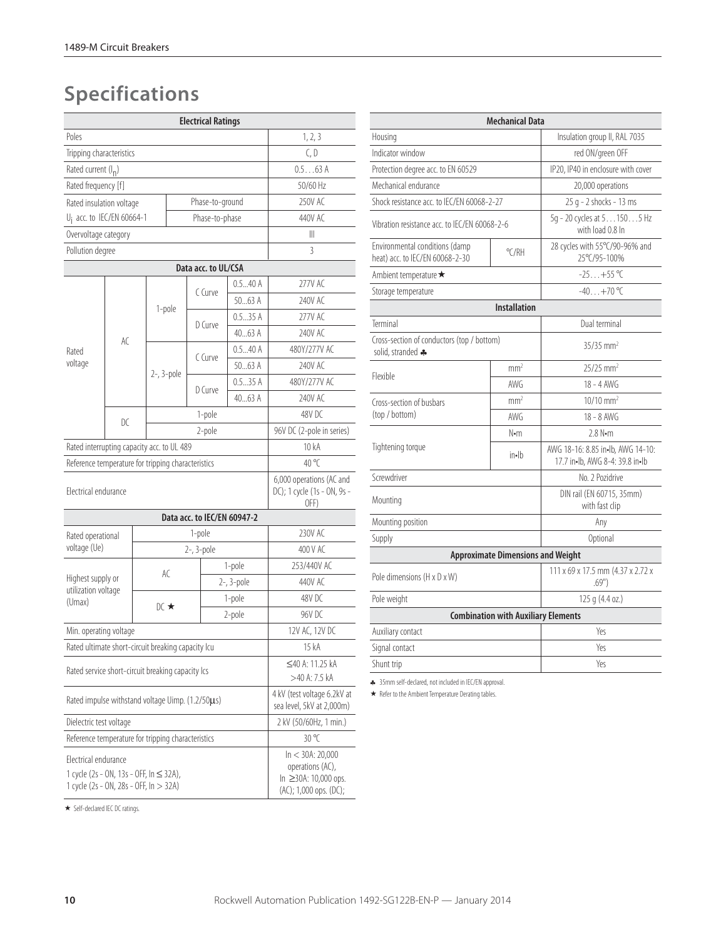# **Specifications**

|                                                                                                           |     |                                                                                           | <b>Electrical Ratings</b>   |            |                                                                 |  |  |
|-----------------------------------------------------------------------------------------------------------|-----|-------------------------------------------------------------------------------------------|-----------------------------|------------|-----------------------------------------------------------------|--|--|
| Poles                                                                                                     |     | 1, 2, 3                                                                                   |                             |            |                                                                 |  |  |
| Tripping characteristics                                                                                  |     | C, D                                                                                      |                             |            |                                                                 |  |  |
| Rated current (I <sub>n</sub> )                                                                           |     | 0.563A                                                                                    |                             |            |                                                                 |  |  |
| Rated frequency [f]                                                                                       |     | 50/60 Hz                                                                                  |                             |            |                                                                 |  |  |
| Rated insulation voltage                                                                                  |     | 250V AC                                                                                   |                             |            |                                                                 |  |  |
| U <sub>i</sub> acc. to IEC/EN 60664-1                                                                     |     | 440V AC                                                                                   |                             |            |                                                                 |  |  |
| Overvoltage category                                                                                      |     |                                                                                           |                             |            | Ш                                                               |  |  |
| Pollution degree                                                                                          |     |                                                                                           |                             |            | 3                                                               |  |  |
|                                                                                                           |     |                                                                                           | Data acc. to UL/CSA         |            |                                                                 |  |  |
|                                                                                                           |     |                                                                                           | C Curve                     | 0.540A     | 277V AC                                                         |  |  |
|                                                                                                           |     |                                                                                           |                             | 5063A      | 240V AC                                                         |  |  |
|                                                                                                           |     | 1-pole                                                                                    | D Curve                     | 0.535A     | 277V AC                                                         |  |  |
|                                                                                                           | AC  |                                                                                           |                             | 4063 A     | 240V AC                                                         |  |  |
| Rated                                                                                                     |     |                                                                                           | C Curve                     | 0.540A     | 480Y/277V AC                                                    |  |  |
| voltage                                                                                                   |     |                                                                                           |                             | 5063A      | 240V AC                                                         |  |  |
|                                                                                                           |     | $2-$ , $3-pole$                                                                           |                             | 0.535A     | 480Y/277V AC                                                    |  |  |
|                                                                                                           |     |                                                                                           | D Curve                     | 4063 A     | 240V AC                                                         |  |  |
|                                                                                                           |     |                                                                                           | 1-pole                      | 48V DC     |                                                                 |  |  |
|                                                                                                           | D C |                                                                                           | 2-pole                      |            | 96V DC (2-pole in series)                                       |  |  |
| Rated interrupting capacity acc. to UL 489                                                                |     |                                                                                           |                             |            | 10 kA                                                           |  |  |
| Reference temperature for tripping characteristics                                                        |     | $40^{\circ}$ C                                                                            |                             |            |                                                                 |  |  |
| Electrical endurance                                                                                      |     |                                                                                           |                             |            | 6,000 operations (AC and<br>DC); 1 cycle (1s - ON, 9s -<br>OFF) |  |  |
|                                                                                                           |     |                                                                                           | Data acc. to IEC/EN 60947-2 |            |                                                                 |  |  |
| Rated operational                                                                                         |     |                                                                                           | 1-pole                      |            | 230V AC                                                         |  |  |
| voltage (Ue)                                                                                              |     |                                                                                           | 2-, 3-pole                  |            | 400 V AC                                                        |  |  |
|                                                                                                           |     |                                                                                           |                             | 1-pole     | 253/440V AC                                                     |  |  |
| Highest supply or                                                                                         |     | AC                                                                                        |                             | 2-, 3-pole | 440V AC                                                         |  |  |
| utilization voltage<br>(Umax)                                                                             |     | $DC \star$                                                                                |                             | 1-pole     | 48V DC                                                          |  |  |
|                                                                                                           |     |                                                                                           |                             | 2-pole     | 96V DC                                                          |  |  |
| Min. operating voltage                                                                                    |     |                                                                                           |                             |            | 12V AC, 12V DC                                                  |  |  |
| Rated ultimate short-circuit breaking capacity Icu                                                        |     |                                                                                           |                             |            | 15 kA                                                           |  |  |
| Rated service short-circuit breaking capacity Ics                                                         |     |                                                                                           |                             |            | ≤40 A: 11.25 kA<br>>40 A: 7.5 kA                                |  |  |
| Rated impulse withstand voltage Uimp. (1.2/50µs)                                                          |     |                                                                                           |                             |            | 4 kV (test voltage 6.2kV at<br>sea level, 5kV at 2,000m)        |  |  |
| Dielectric test voltage                                                                                   |     |                                                                                           |                             |            | 2 kV (50/60Hz, 1 min.)                                          |  |  |
| Reference temperature for tripping characteristics                                                        |     | 30 °C                                                                                     |                             |            |                                                                 |  |  |
| Flectrical endurance<br>1 cycle (2s - ON, 13s - OFF, In ≤ 32A),<br>1 cycle (2s - ON, 28s - OFF, In > 32A) |     | $ln < 30A$ : 20,000<br>operations (AC),<br>In ≥30A: 10,000 ops.<br>(AC); 1,000 ops. (DC); |                             |            |                                                                 |  |  |

|                                                                   | <b>Mechanical Data</b>                      |                                                                        |  |  |  |
|-------------------------------------------------------------------|---------------------------------------------|------------------------------------------------------------------------|--|--|--|
| Housing                                                           |                                             | Insulation group II, RAL 7035                                          |  |  |  |
| Indicator window                                                  |                                             |                                                                        |  |  |  |
| Protection degree acc. to EN 60529                                |                                             | IP20, IP40 in enclosure with cover                                     |  |  |  |
| Mechanical endurance                                              | 20,000 operations                           |                                                                        |  |  |  |
| Shock resistance acc. to IFC/FN 60068-2-27                        | 25 g - 2 shocks - 13 ms                     |                                                                        |  |  |  |
| Vibration resistance acc. to IFC/FN 60068-2-6                     |                                             | 5q - 20 cycles at 51505 Hz<br>with load 0.8 In                         |  |  |  |
| Environmental conditions (damp<br>heat) acc. to IEC/EN 60068-2-30 | $^{\circ}$ C/RH                             | 28 cycles with 55°C/90-96% and<br>25°C/95-100%                         |  |  |  |
| Ambient temperature ★                                             |                                             | $-25+55$ °C                                                            |  |  |  |
| Storage temperature                                               | $-40+70$ °C                                 |                                                                        |  |  |  |
|                                                                   | <b>Installation</b>                         |                                                                        |  |  |  |
| Terminal                                                          | Dual terminal                               |                                                                        |  |  |  |
| Cross-section of conductors (top / bottom)<br>solid, stranded +   | $35/35$ mm <sup>2</sup>                     |                                                                        |  |  |  |
|                                                                   | mm <sup>2</sup>                             | 25/25 mm <sup>2</sup>                                                  |  |  |  |
| Flexible                                                          | AWG                                         | $18 - 4$ AWG                                                           |  |  |  |
| Cross-section of busbars                                          | mm <sup>2</sup>                             | $10/10$ mm <sup>2</sup>                                                |  |  |  |
| (top / bottom)                                                    | AWG                                         | $18 - 8$ AWG                                                           |  |  |  |
|                                                                   | N•m                                         | 2.8 N-m                                                                |  |  |  |
| Tightening torque                                                 | $in - lb$                                   | AWG 18-16: 8.85 in - Ib. AWG 14-10:<br>17.7 in-lb. AWG 8-4: 39.8 in-lb |  |  |  |
| Screwdriver                                                       |                                             | No. 2 Pozidrive                                                        |  |  |  |
| Mounting                                                          | DIN rail (EN 60715, 35mm)<br>with fast clip |                                                                        |  |  |  |
| Mounting position                                                 |                                             | Any                                                                    |  |  |  |
| Supply                                                            |                                             | Optional                                                               |  |  |  |
|                                                                   | <b>Approximate Dimensions and Weight</b>    |                                                                        |  |  |  |
| Pole dimensions (H x D x W)                                       |                                             | 111 x 69 x 17.5 mm (4.37 x 2.72 x<br>.69"                              |  |  |  |
| Pole weight                                                       |                                             | 125 g (4.4 oz.)                                                        |  |  |  |
|                                                                   | <b>Combination with Auxiliary Elements</b>  |                                                                        |  |  |  |
| Auxiliary contact                                                 |                                             | Yes                                                                    |  |  |  |
| Signal contact                                                    |                                             |                                                                        |  |  |  |
| Shunt trip                                                        |                                             |                                                                        |  |  |  |

♣ 35mm self-declared, not included in IEC/EN approval.

Refer to the Ambient Temperature Derating tables.

 $\star$  Self-declared IEC DC ratings.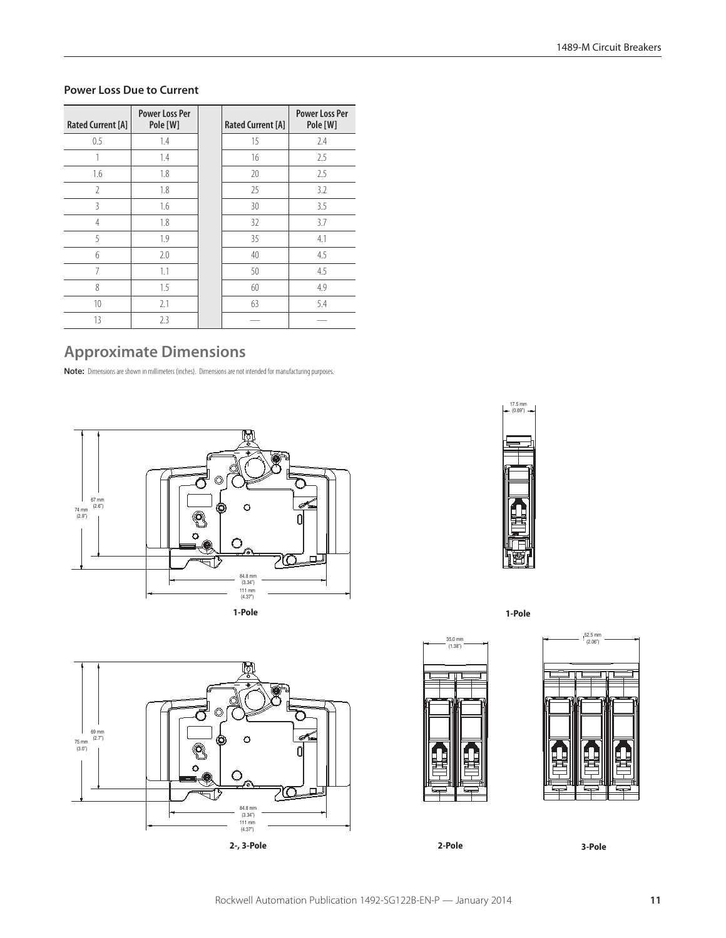#### **Power Loss Due to Current**

| <b>Rated Current [A]</b> | <b>Power Loss Per</b><br>Pole [W] | <b>Rated Current [A]</b> | <b>Power Loss Per</b><br>Pole [W] |
|--------------------------|-----------------------------------|--------------------------|-----------------------------------|
| 0.5                      | 1.4                               | 15                       | 2.4                               |
|                          | 1.4                               | 16                       | 2.5                               |
| 1.6                      | 1.8                               | 20                       | 2.5                               |
| $\mathfrak{I}$           | 1.8                               | 25                       | 3.2                               |
| 3                        | 1.6                               | 30                       | 3.5                               |
| 4                        | 1.8                               | 32                       | 3.7                               |
| 5                        | 1.9                               | 35                       | 4.1                               |
| 6                        | 2.0                               | 40                       | 4.5                               |
| 7                        | 1.1                               | 50                       | 4.5                               |
| 8                        | 1.5                               | 60                       | 4.9                               |
| 10                       | 2.1                               | 63                       | 5.4                               |
| 13                       | 2.3                               |                          |                                   |

## **Approximate Dimensions**

**Note:** Dimensions are shown in millimeters (inches). Dimensions are not intended for manufacturing purposes.







**1-Pole**



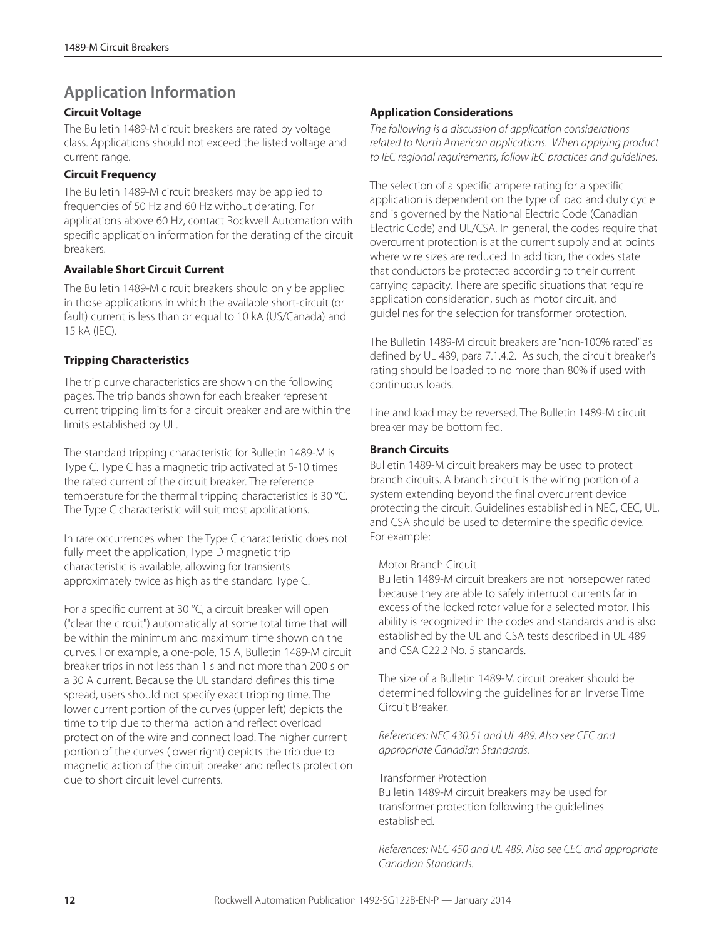## **Application Information**

### **Circuit Voltage**

The Bulletin 1489-M circuit breakers are rated by voltage class. Applications should not exceed the listed voltage and current range.

#### **Circuit Frequency**

The Bulletin 1489-M circuit breakers may be applied to frequencies of 50 Hz and 60 Hz without derating. For applications above 60 Hz, contact Rockwell Automation with specific application information for the derating of the circuit breakers.

#### **Available Short Circuit Current**

The Bulletin 1489-M circuit breakers should only be applied in those applications in which the available short-circuit (or fault) current is less than or equal to 10 kA (US/Canada) and 15 kA (IEC).

### **Tripping Characteristics**

The trip curve characteristics are shown on the following pages. The trip bands shown for each breaker represent current tripping limits for a circuit breaker and are within the limits established by UL.

The standard tripping characteristic for Bulletin 1489-M is Type C. Type C has a magnetic trip activated at 5-10 times the rated current of the circuit breaker. The reference temperature for the thermal tripping characteristics is 30 °C. The Type C characteristic will suit most applications.

In rare occurrences when the Type C characteristic does not fully meet the application, Type D magnetic trip characteristic is available, allowing for transients approximately twice as high as the standard Type C.

For a specific current at 30 °C, a circuit breaker will open ("clear the circuit") automatically at some total time that will be within the minimum and maximum time shown on the curves. For example, a one-pole, 15 A, Bulletin 1489-M circuit breaker trips in not less than 1 s and not more than 200 s on a 30 A current. Because the UL standard defines this time spread, users should not specify exact tripping time. The lower current portion of the curves (upper left) depicts the time to trip due to thermal action and reflect overload protection of the wire and connect load. The higher current portion of the curves (lower right) depicts the trip due to magnetic action of the circuit breaker and reflects protection due to short circuit level currents.

#### **Application Considerations**

*The following is a discussion of application considerations related to North American applications. When applying product to IEC regional requirements, follow IEC practices and guidelines.*

The selection of a specific ampere rating for a specific application is dependent on the type of load and duty cycle and is governed by the National Electric Code (Canadian Electric Code) and UL/CSA. In general, the codes require that overcurrent protection is at the current supply and at points where wire sizes are reduced. In addition, the codes state that conductors be protected according to their current carrying capacity. There are specific situations that require application consideration, such as motor circuit, and guidelines for the selection for transformer protection.

The Bulletin 1489-M circuit breakers are "non-100% rated" as defined by UL 489, para 7.1.4.2. As such, the circuit breaker's rating should be loaded to no more than 80% if used with continuous loads.

Line and load may be reversed. The Bulletin 1489-M circuit breaker may be bottom fed.

#### **Branch Circuits**

Bulletin 1489-M circuit breakers may be used to protect branch circuits. A branch circuit is the wiring portion of a system extending beyond the final overcurrent device protecting the circuit. Guidelines established in NEC, CEC, UL, and CSA should be used to determine the specific device. For example:

#### Motor Branch Circuit

Bulletin 1489-M circuit breakers are not horsepower rated because they are able to safely interrupt currents far in excess of the locked rotor value for a selected motor. This ability is recognized in the codes and standards and is also established by the UL and CSA tests described in UL 489 and CSA C22.2 No. 5 standards.

The size of a Bulletin 1489-M circuit breaker should be determined following the guidelines for an Inverse Time Circuit Breaker.

*References: NEC 430.51 and UL 489. Also see CEC and appropriate Canadian Standards.*

Transformer Protection Bulletin 1489-M circuit breakers may be used for transformer protection following the guidelines established.

*References: NEC 450 and UL 489. Also see CEC and appropriate Canadian Standards.*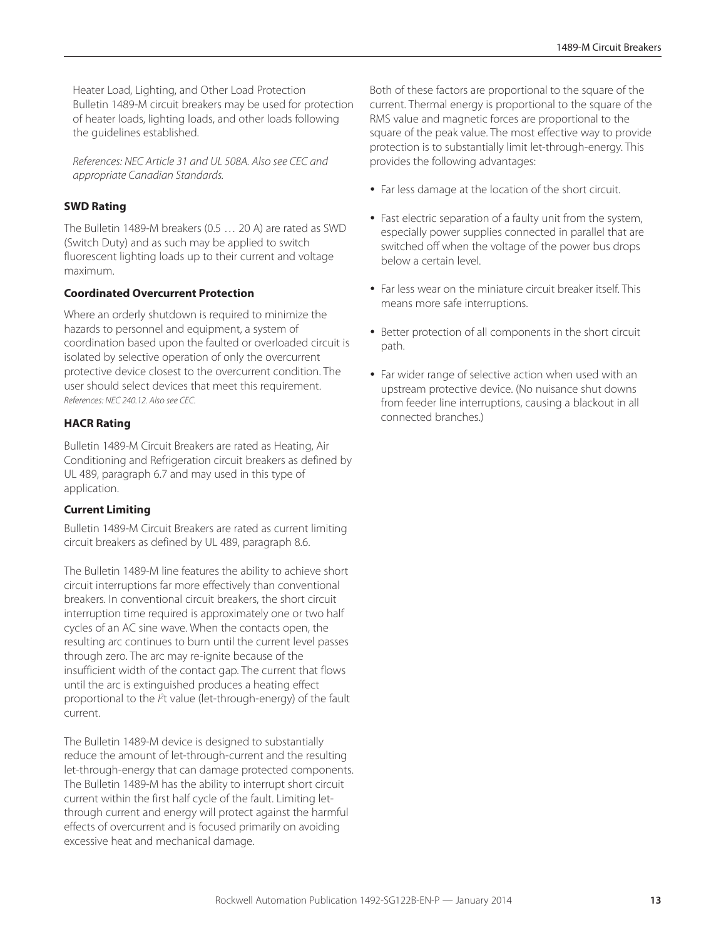Heater Load, Lighting, and Other Load Protection Bulletin 1489-M circuit breakers may be used for protection of heater loads, lighting loads, and other loads following the guidelines established.

*References: NEC Article 31 and UL 508A. Also see CEC and appropriate Canadian Standards.*

#### **SWD Rating**

The Bulletin 1489-M breakers (0.5 … 20 A) are rated as SWD (Switch Duty) and as such may be applied to switch fluorescent lighting loads up to their current and voltage maximum.

#### **Coordinated Overcurrent Protection**

Where an orderly shutdown is required to minimize the hazards to personnel and equipment, a system of coordination based upon the faulted or overloaded circuit is isolated by selective operation of only the overcurrent protective device closest to the overcurrent condition. The user should select devices that meet this requirement. *References: NEC 240.12. Also see CEC.*

#### **HACR Rating**

Bulletin 1489-M Circuit Breakers are rated as Heating, Air Conditioning and Refrigeration circuit breakers as defined by UL 489, paragraph 6.7 and may used in this type of application.

#### **Current Limiting**

Bulletin 1489-M Circuit Breakers are rated as current limiting circuit breakers as defined by UL 489, paragraph 8.6.

The Bulletin 1489-M line features the ability to achieve short circuit interruptions far more effectively than conventional breakers. In conventional circuit breakers, the short circuit interruption time required is approximately one or two half cycles of an AC sine wave. When the contacts open, the resulting arc continues to burn until the current level passes through zero. The arc may re-ignite because of the insufficient width of the contact gap. The current that flows until the arc is extinguished produces a heating effect proportional to the  $l<sup>2</sup>$ t value (let-through-energy) of the fault current.

The Bulletin 1489-M device is designed to substantially reduce the amount of let-through-current and the resulting let-through-energy that can damage protected components. The Bulletin 1489-M has the ability to interrupt short circuit current within the first half cycle of the fault. Limiting letthrough current and energy will protect against the harmful effects of overcurrent and is focused primarily on avoiding excessive heat and mechanical damage.

Both of these factors are proportional to the square of the current. Thermal energy is proportional to the square of the RMS value and magnetic forces are proportional to the square of the peak value. The most effective way to provide protection is to substantially limit let-through-energy. This provides the following advantages:

- Far less damage at the location of the short circuit.
- Fast electric separation of a faulty unit from the system, especially power supplies connected in parallel that are switched off when the voltage of the power bus drops below a certain level.
- Far less wear on the miniature circuit breaker itself. This means more safe interruptions.
- Better protection of all components in the short circuit path.
- Far wider range of selective action when used with an upstream protective device. (No nuisance shut downs from feeder line interruptions, causing a blackout in all connected branches.)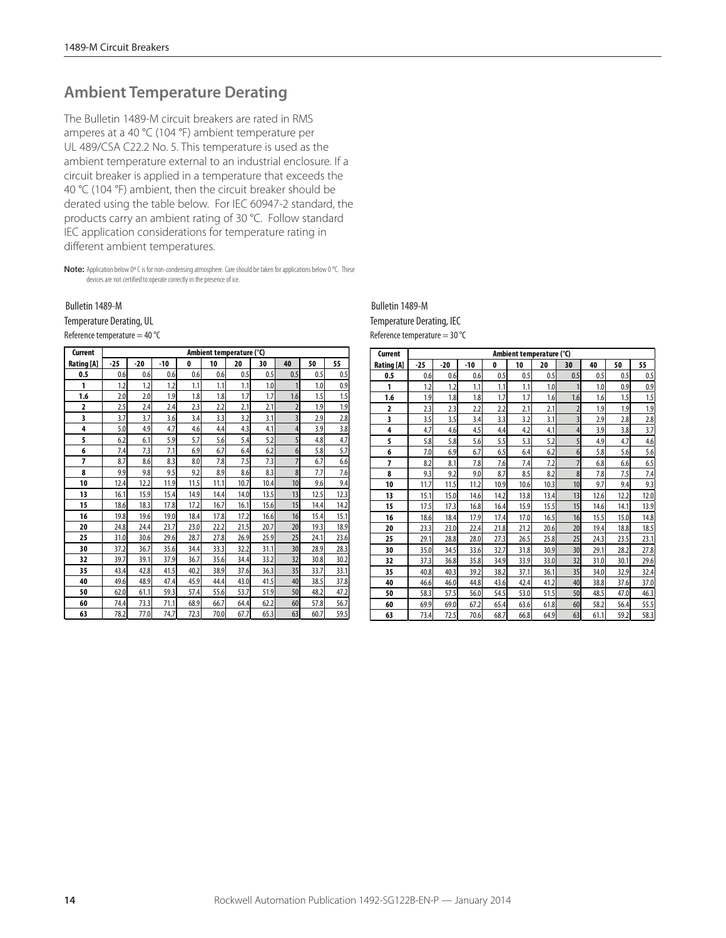## **Ambient Temperature Derating**

The Bulletin 1489-M circuit breakers are rated in RMS amperes at a 40 °C (104 °F) ambient temperature per UL 489/CSA C22.2 No. 5. This temperature is used as the ambient temperature external to an industrial enclosure. If a circuit breaker is applied in a temperature that exceeds the 40 °C (104 °F) ambient, then the circuit breaker should be derated using the table below. For IEC 60947-2 standard, the products carry an ambient rating of 30 °C. Follow standard IEC application considerations for temperature rating in different ambient temperatures.

**Note:** Application below 0° C is for non-condensing atmosphere. Care should be taken for applications below 0 °C. These devices are not certified to operate correctly in the presence of ice.

# Bulletin 1489-M<br>Temperature Derating, UL

Reference temperature  $=$  40 °C

| Current                 |       |       |       |              | Ambient temperature (°C) |      |      |                |      |      |
|-------------------------|-------|-------|-------|--------------|--------------------------|------|------|----------------|------|------|
| Rating [A]              | $-25$ | $-20$ | $-10$ | $\mathbf{0}$ | 10                       | 20   | 30   | 40             | 50   | 55   |
| 0.5                     | 0.6   | 0.6   | 0.6   | 0.6          | 0.6                      | 0.5  | 0.5  | 0.5            | 0.5  | 0.5  |
| 1                       | 1.2   | 1.2   | 1.2   | 1.1          | 1.1                      | 1.1  | 1.0  |                | 1.0  | 0.9  |
| 1.6                     | 2.0   | 2.0   | 1.9   | 1.8          | 1.8                      | 1.7  | 1.7  | 1.6            | 1.5  | 1.5  |
| $\overline{a}$          | 2.5   | 2.4   | 2.4   | 2.3          | 2.2                      | 2.1  | 2.1  | $\overline{2}$ | 1.9  | 1.9  |
| $\overline{\mathbf{3}}$ | 3.7   | 3.7   | 3.6   | 3.4          | 3.3                      | 3.2  | 3.1  | $\overline{3}$ | 2.9  | 2.8  |
| 4                       | 5.0   | 4.9   | 4.7   | 4.6          | 4.4                      | 4.3  | 4.1  | $\overline{4}$ | 3.9  | 3.8  |
| 5                       | 6.2   | 6.1   | 5.9   | 5.7          | 5.6                      | 5.4  | 5.2  | 5              | 4.8  | 4.7  |
| 6                       | 7.4   | 7.3   | 7.1   | 6.9          | 6.7                      | 6.4  | 6.2  | 6              | 5.8  | 5.7  |
| $\overline{7}$          | 8.7   | 8.6   | 8.3   | 8.0          | 7.8                      | 7.5  | 7.3  | $\overline{7}$ | 6.7  | 6.6  |
| 8                       | 9.9   | 9.8   | 9.5   | 9.2          | 8.9                      | 8.6  | 8.3  | 8              | 7.7  | 7.6  |
| 10                      | 12.4  | 12.2  | 11.9  | 11.5         | 11.1                     | 10.7 | 10.4 | 10             | 9.6  | 9.4  |
| 13                      | 16.1  | 15.9  | 15.4  | 14.9         | 14.4                     | 14.0 | 13.5 | 13             | 12.5 | 12.3 |
| 15                      | 18.6  | 18.3  | 17.8  | 17.2         | 16.7                     | 16.1 | 15.6 | 15             | 14.4 | 14.2 |
| 16                      | 19.8  | 19.6  | 19.0  | 18.4         | 17.8                     | 17.2 | 16.6 | 16             | 15.4 | 15.1 |
| 20                      | 24.8  | 24.4  | 23.7  | 23.0         | 22.2                     | 21.5 | 20.7 | 20             | 19.3 | 18.9 |
| 25                      | 31.0  | 30.6  | 29.6  | 28.7         | 27.8                     | 26.9 | 25.9 | 25             | 24.1 | 23.6 |
| 30                      | 37.2  | 36.7  | 35.6  | 34.4         | 33.3                     | 32.2 | 31.1 | 30             | 28.9 | 28.3 |
| 32                      | 39.7  | 39.1  | 37.9  | 36.7         | 35.6                     | 34.4 | 33.2 | 32             | 30.8 | 30.2 |
| 35                      | 43.4  | 42.8  | 41.5  | 40.2         | 38.9                     | 37.6 | 36.3 | 35             | 33.7 | 33.1 |
| 40                      | 49.6  | 48.9  | 47.4  | 45.9         | 44.4                     | 43.0 | 41.5 | 40             | 38.5 | 37.8 |
| 50                      | 62.0  | 61.1  | 59.3  | 57.4         | 55.6                     | 53.7 | 51.9 | 50             | 48.2 | 47.2 |
| 60                      | 74.4  | 73.3  | 71.1  | 68.9         | 66.7                     | 64.4 | 62.2 | 60             | 57.8 | 56.7 |
| 63                      | 78.2  | 77.0  | 74.7  | 72.3         | 70.0                     | 67.7 | 65.3 | 63             | 60.7 | 59.5 |

Reference temperature  $=$  30 °C Bulletin 1489-M<br>Temperature Derating, IEC

| Current        | Ambient temperature (°C) |       |       |              |      |      |                         |      |      |      |
|----------------|--------------------------|-------|-------|--------------|------|------|-------------------------|------|------|------|
| Rating [A]     | $-25$                    | $-20$ | $-10$ | $\mathbf{0}$ | 10   | 20   | 30                      | 40   | 50   | 55   |
| 0.5            | 0.6                      | 0.6   | 0.6   | 0.5          | 0.5  | 0.5  | 0.5                     | 0.5  | 0.5  | 0.5  |
| 1              | 1.2                      | 1.2   | 1.1   | 1.1          | 1.1  | 1.0  | $\mathbf{1}$            | 1.0  | 0.9  | 0.9  |
| 1.6            | 1.9                      | 1.8   | 1.8   | 1.7          | 1.7  | 1.6  | 1.6                     | 1.6  | 1.5  | 1.5  |
| $\overline{2}$ | 2.3                      | 2.3   | 2.2   | 2.2          | 2.1  | 2.1  | $\overline{2}$          | 1.9  | 1.9  | 1.9  |
| 3              | 3.5                      | 3.5   | 3.4   | 3.3          | 3.2  | 3.1  | $\overline{\mathbf{3}}$ | 2.9  | 2.8  | 2.8  |
| 4              | 4.7                      | 4.6   | 4.5   | 4.4          | 4.2  | 4.1  | $\overline{4}$          | 3.9  | 3.8  | 3.7  |
| 5              | 5.8                      | 5.8   | 5.6   | 5.5          | 5.3  | 5.2  | 5                       | 4.9  | 4.7  | 4.6  |
| 6              | 7.0                      | 6.9   | 6.7   | 6.5          | 6.4  | 6.2  | 6                       | 5.8  | 5.6  | 5.6  |
| $\overline{7}$ | 8.2                      | 8.1   | 7.8   | 7.6          | 7.4  | 7.2  | $\overline{7}$          | 6.8  | 6.6  | 6.5  |
| 8              | 9.3                      | 9.2   | 9.0   | 8.7          | 8.5  | 8.2  | 8                       | 7.8  | 7.5  | 7.4  |
| 10             | 11.7                     | 11.5  | 11.2  | 10.9         | 10.6 | 10.3 | 10                      | 9.7  | 9.4  | 9.3  |
| 13             | 15.1                     | 15.0  | 14.6  | 14.2         | 13.8 | 13.4 | 13                      | 12.6 | 12.2 | 12.0 |
| 15             | 17.5                     | 17.3  | 16.8  | 16.4         | 15.9 | 15.5 | 15                      | 14.6 | 14.1 | 13.9 |
| 16             | 18.6                     | 18.4  | 17.9  | 17.4         | 17.0 | 16.5 | 16                      | 15.5 | 15.0 | 14.8 |
| 20             | 23.3                     | 23.0  | 22.4  | 21.8         | 21.2 | 20.6 | 20                      | 19.4 | 18.8 | 18.5 |
| 25             | 29.1                     | 28.8  | 28.0  | 27.3         | 26.5 | 25.8 | 25                      | 24.3 | 23.5 | 23.1 |
| 30             | 35.0                     | 34.5  | 33.6  | 32.7         | 31.8 | 30.9 | 30                      | 29.1 | 28.2 | 27.8 |
| 32             | 37.3                     | 36.8  | 35.8  | 34.9         | 33.9 | 33.0 | 32                      | 31.0 | 30.1 | 29.6 |
| 35             | 40.8                     | 40.3  | 39.2  | 38.2         | 37.1 | 36.1 | 35                      | 34.0 | 32.9 | 32.4 |
| 40             | 46.6                     | 46.0  | 44.8  | 43.6         | 42.4 | 41.2 | 40                      | 38.8 | 37.6 | 37.0 |
| 50             | 58.3                     | 57.5  | 56.0  | 54.5         | 53.0 | 51.5 | 50                      | 48.5 | 47.0 | 46.3 |
| 60             | 69.9                     | 69.0  | 67.2  | 65.4         | 63.6 | 61.8 | 60                      | 58.2 | 56.4 | 55.5 |
| 63             | 73.4                     | 72.5  | 70.6  | 68.7         | 66.8 | 64.9 | 63                      | 61.1 | 59.2 | 58.3 |